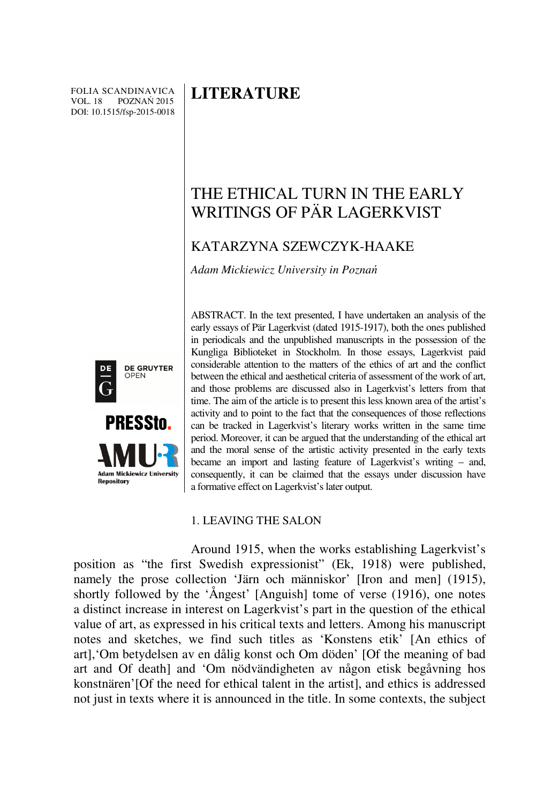FOLIA SCANDINAVICA VOL. 18 POZNAŃ 2015 DOI: 10.1515/fsp-2015-0018

# **LITERATURE**

# THE ETHICAL TURN IN THE EARLY WRITINGS OF PÄR LAGERKVIST

## KATARZYNA SZEWCZYK-HAAKE

*Adam Mickiewicz University in Pozna*ń



ABSTRACT. In the text presented, I have undertaken an analysis of the early essays of Pär Lagerkvist (dated 1915-1917), both the ones published in periodicals and the unpublished manuscripts in the possession of the Kungliga Biblioteket in Stockholm. In those essays, Lagerkvist paid considerable attention to the matters of the ethics of art and the conflict between the ethical and aesthetical criteria of assessment of the work of art, and those problems are discussed also in Lagerkvist's letters from that time. The aim of the article is to present this less known area of the artist's activity and to point to the fact that the consequences of those reflections can be tracked in Lagerkvist's literary works written in the same time period. Moreover, it can be argued that the understanding of the ethical art and the moral sense of the artistic activity presented in the early texts became an import and lasting feature of Lagerkvist's writing – and, consequently, it can be claimed that the essays under discussion have a formative effect on Lagerkvist's later output.

### 1. LEAVING THE SALON

Around 1915, when the works establishing Lagerkvist's position as "the first Swedish expressionist" (Ek, 1918) were published, namely the prose collection 'Järn och människor' [Iron and men] (1915), shortly followed by the 'Ångest' [Anguish] tome of verse (1916), one notes a distinct increase in interest on Lagerkvist's part in the question of the ethical value of art, as expressed in his critical texts and letters. Among his manuscript notes and sketches, we find such titles as 'Konstens etik' [An ethics of art],'Om betydelsen av en dålig konst och Om döden' [Of the meaning of bad art and Of death] and 'Om nödvändigheten av någon etisk begåvning hos konstnären'[Of the need for ethical talent in the artist], and ethics is addressed not just in texts where it is announced in the title. In some contexts, the subject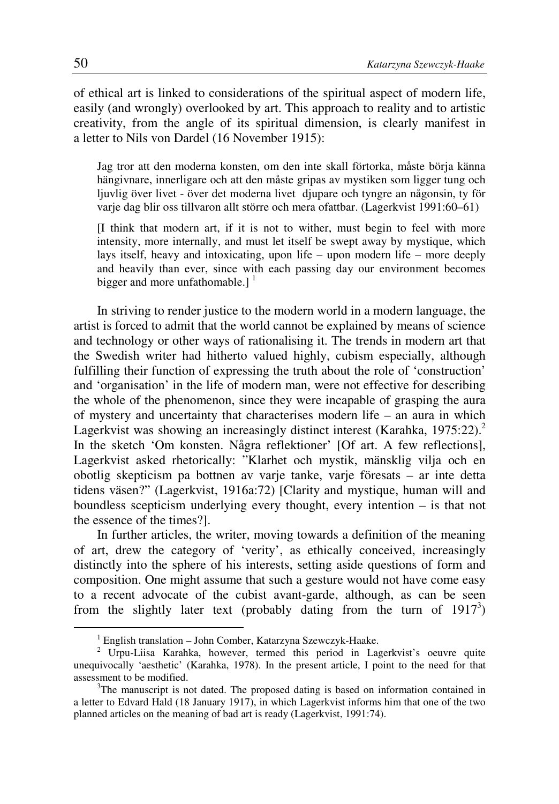of ethical art is linked to considerations of the spiritual aspect of modern life, easily (and wrongly) overlooked by art. This approach to reality and to artistic creativity, from the angle of its spiritual dimension, is clearly manifest in a letter to Nils von Dardel (16 November 1915):

Jag tror att den moderna konsten, om den inte skall förtorka, måste börja känna hängivnare, innerligare och att den måste gripas av mystiken som ligger tung och ljuvlig över livet - över det moderna livet djupare och tyngre an någonsin, ty för varje dag blir oss tillvaron allt större och mera ofattbar. (Lagerkvist 1991:60–61)

[I think that modern art, if it is not to wither, must begin to feel with more intensity, more internally, and must let itself be swept away by mystique, which lays itself, heavy and intoxicating, upon life – upon modern life – more deeply and heavily than ever, since with each passing day our environment becomes bigger and more unfathomable.] $<sup>1</sup>$ </sup>

In striving to render justice to the modern world in a modern language, the artist is forced to admit that the world cannot be explained by means of science and technology or other ways of rationalising it. The trends in modern art that the Swedish writer had hitherto valued highly, cubism especially, although fulfilling their function of expressing the truth about the role of 'construction' and 'organisation' in the life of modern man, were not effective for describing the whole of the phenomenon, since they were incapable of grasping the aura of mystery and uncertainty that characterises modern life – an aura in which Lagerkvist was showing an increasingly distinct interest (Karahka,  $1975:22$ ).<sup>2</sup> In the sketch 'Om konsten. Några reflektioner' [Of art. A few reflections], Lagerkvist asked rhetorically: "Klarhet och mystik, mänsklig vilja och en obotlig skepticism pa bottnen av varje tanke, varje föresats – ar inte detta tidens väsen?" (Lagerkvist, 1916a:72) [Clarity and mystique, human will and boundless scepticism underlying every thought, every intention – is that not the essence of the times?].

In further articles, the writer, moving towards a definition of the meaning of art, drew the category of 'verity', as ethically conceived, increasingly distinctly into the sphere of his interests, setting aside questions of form and composition. One might assume that such a gesture would not have come easy to a recent advocate of the cubist avant-garde, although, as can be seen from the slightly later text (probably dating from the turn of  $1917<sup>3</sup>$ )

<sup>1</sup> English translation – John Comber, Katarzyna Szewczyk-Haake.

<sup>&</sup>lt;sup>2</sup> Urpu-Liisa Karahka, however, termed this period in Lagerkvist's oeuvre quite unequivocally 'aesthetic' (Karahka, 1978). In the present article, I point to the need for that assessment to be modified.

<sup>&</sup>lt;sup>3</sup>The manuscript is not dated. The proposed dating is based on information contained in a letter to Edvard Hald (18 January 1917), in which Lagerkvist informs him that one of the two planned articles on the meaning of bad art is ready (Lagerkvist, 1991:74).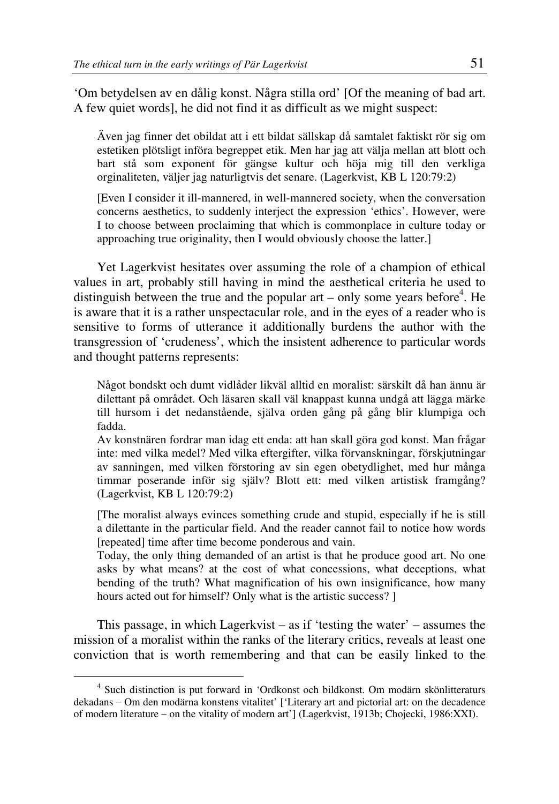'Om betydelsen av en dålig konst. Några stilla ord' [Of the meaning of bad art. A few quiet words], he did not find it as difficult as we might suspect:

Även jag finner det obildat att i ett bildat sällskap då samtalet faktiskt rör sig om estetiken plötsligt införa begreppet etik. Men har jag att välja mellan att blott och bart stå som exponent för gängse kultur och höja mig till den verkliga orginaliteten, väljer jag naturligtvis det senare. (Lagerkvist, KB L 120:79:2)

[Even I consider it ill-mannered, in well-mannered society, when the conversation concerns aesthetics, to suddenly interject the expression 'ethics'. However, were I to choose between proclaiming that which is commonplace in culture today or approaching true originality, then I would obviously choose the latter.]

Yet Lagerkvist hesitates over assuming the role of a champion of ethical values in art, probably still having in mind the aesthetical criteria he used to distinguish between the true and the popular art – only some years before<sup>4</sup>. He is aware that it is a rather unspectacular role, and in the eyes of a reader who is sensitive to forms of utterance it additionally burdens the author with the transgression of 'crudeness', which the insistent adherence to particular words and thought patterns represents:

Något bondskt och dumt vidlåder likväl alltid en moralist: särskilt då han ännu är dilettant på området. Och läsaren skall väl knappast kunna undgå att lägga märke till hursom i det nedanstående, själva orden gång på gång blir klumpiga och fadda.

Av konstnären fordrar man idag ett enda: att han skall göra god konst. Man frågar inte: med vilka medel? Med vilka eftergifter, vilka förvanskningar, förskjutningar av sanningen, med vilken förstoring av sin egen obetydlighet, med hur många timmar poserande inför sig själv? Blott ett: med vilken artistisk framgång? (Lagerkvist, KB L 120:79:2)

[The moralist always evinces something crude and stupid, especially if he is still a dilettante in the particular field. And the reader cannot fail to notice how words [repeated] time after time become ponderous and vain.

Today, the only thing demanded of an artist is that he produce good art. No one asks by what means? at the cost of what concessions, what deceptions, what bending of the truth? What magnification of his own insignificance, how many hours acted out for himself? Only what is the artistic success? ]

This passage, in which Lagerkvist – as if 'testing the water' – assumes the mission of a moralist within the ranks of the literary critics, reveals at least one conviction that is worth remembering and that can be easily linked to the

<sup>4</sup> Such distinction is put forward in 'Ordkonst och bildkonst. Om modärn skönlitteraturs dekadans – Om den modärna konstens vitalitet' ['Literary art and pictorial art: on the decadence of modern literature – on the vitality of modern art'] (Lagerkvist, 1913b; Chojecki, 1986:XXI).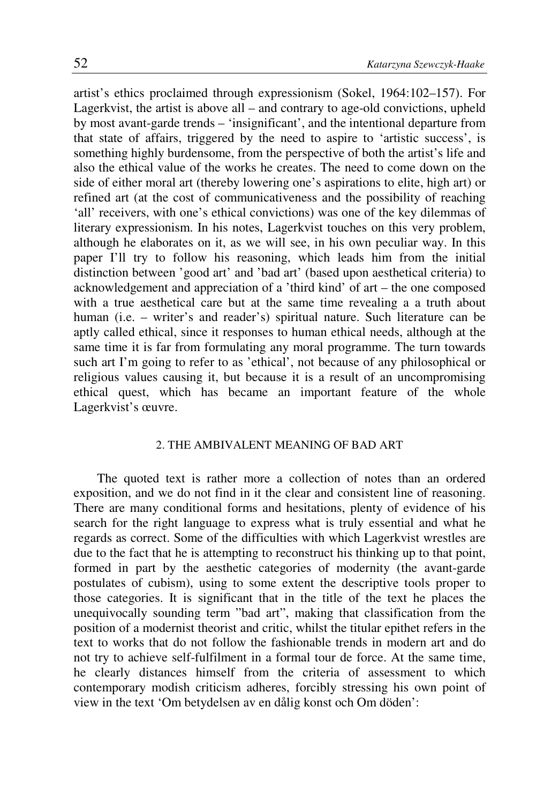artist's ethics proclaimed through expressionism (Sokel, 1964:102–157). For Lagerkvist, the artist is above all – and contrary to age-old convictions, upheld by most avant-garde trends – 'insignificant', and the intentional departure from that state of affairs, triggered by the need to aspire to 'artistic success', is something highly burdensome, from the perspective of both the artist's life and also the ethical value of the works he creates. The need to come down on the side of either moral art (thereby lowering one's aspirations to elite, high art) or refined art (at the cost of communicativeness and the possibility of reaching 'all' receivers, with one's ethical convictions) was one of the key dilemmas of literary expressionism. In his notes, Lagerkvist touches on this very problem, although he elaborates on it, as we will see, in his own peculiar way. In this paper I'll try to follow his reasoning, which leads him from the initial distinction between 'good art' and 'bad art' (based upon aesthetical criteria) to acknowledgement and appreciation of a 'third kind' of art – the one composed with a true aesthetical care but at the same time revealing a a truth about human (i.e. – writer's and reader's) spiritual nature. Such literature can be aptly called ethical, since it responses to human ethical needs, although at the same time it is far from formulating any moral programme. The turn towards such art I'm going to refer to as 'ethical', not because of any philosophical or religious values causing it, but because it is a result of an uncompromising ethical quest, which has became an important feature of the whole Lagerkvist's œuvre.

### 2. THE AMBIVALENT MEANING OF BAD ART

The quoted text is rather more a collection of notes than an ordered exposition, and we do not find in it the clear and consistent line of reasoning. There are many conditional forms and hesitations, plenty of evidence of his search for the right language to express what is truly essential and what he regards as correct. Some of the difficulties with which Lagerkvist wrestles are due to the fact that he is attempting to reconstruct his thinking up to that point, formed in part by the aesthetic categories of modernity (the avant-garde postulates of cubism), using to some extent the descriptive tools proper to those categories. It is significant that in the title of the text he places the unequivocally sounding term "bad art", making that classification from the position of a modernist theorist and critic, whilst the titular epithet refers in the text to works that do not follow the fashionable trends in modern art and do not try to achieve self-fulfilment in a formal tour de force. At the same time, he clearly distances himself from the criteria of assessment to which contemporary modish criticism adheres, forcibly stressing his own point of view in the text 'Om betydelsen av en dålig konst och Om döden':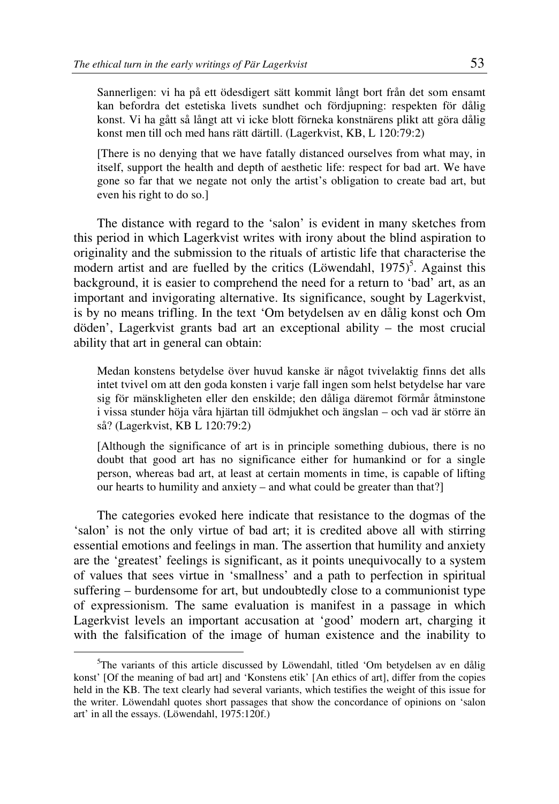Sannerligen: vi ha på ett ödesdigert sätt kommit långt bort från det som ensamt kan befordra det estetiska livets sundhet och fördjupning: respekten för dålig konst. Vi ha gått så långt att vi icke blott förneka konstnärens plikt att göra dålig konst men till och med hans rätt därtill. (Lagerkvist, KB, L 120:79:2)

[There is no denying that we have fatally distanced ourselves from what may, in itself, support the health and depth of aesthetic life: respect for bad art. We have gone so far that we negate not only the artist's obligation to create bad art, but even his right to do so.]

The distance with regard to the 'salon' is evident in many sketches from this period in which Lagerkvist writes with irony about the blind aspiration to originality and the submission to the rituals of artistic life that characterise the modern artist and are fuelled by the critics (Löwendahl,  $1975$ )<sup>5</sup>. Against this background, it is easier to comprehend the need for a return to 'bad' art, as an important and invigorating alternative. Its significance, sought by Lagerkvist, is by no means trifling. In the text 'Om betydelsen av en dålig konst och Om döden', Lagerkvist grants bad art an exceptional ability – the most crucial ability that art in general can obtain:

Medan konstens betydelse över huvud kanske är något tvivelaktig finns det alls intet tvivel om att den goda konsten i varje fall ingen som helst betydelse har vare sig för mänskligheten eller den enskilde; den dåliga däremot förmår åtminstone i vissa stunder höja våra hjärtan till ödmjukhet och ängslan – och vad är större än så? (Lagerkvist, KB L 120:79:2)

[Although the significance of art is in principle something dubious, there is no doubt that good art has no significance either for humankind or for a single person, whereas bad art, at least at certain moments in time, is capable of lifting our hearts to humility and anxiety – and what could be greater than that?]

The categories evoked here indicate that resistance to the dogmas of the 'salon' is not the only virtue of bad art; it is credited above all with stirring essential emotions and feelings in man. The assertion that humility and anxiety are the 'greatest' feelings is significant, as it points unequivocally to a system of values that sees virtue in 'smallness' and a path to perfection in spiritual suffering – burdensome for art, but undoubtedly close to a communionist type of expressionism. The same evaluation is manifest in a passage in which Lagerkvist levels an important accusation at 'good' modern art, charging it with the falsification of the image of human existence and the inability to

 ${}^{5}$ The variants of this article discussed by Löwendahl, titled 'Om betydelsen av en dålig konst' [Of the meaning of bad art] and 'Konstens etik' [An ethics of art], differ from the copies held in the KB. The text clearly had several variants, which testifies the weight of this issue for the writer. Löwendahl quotes short passages that show the concordance of opinions on 'salon art' in all the essays. (Löwendahl, 1975:120f.)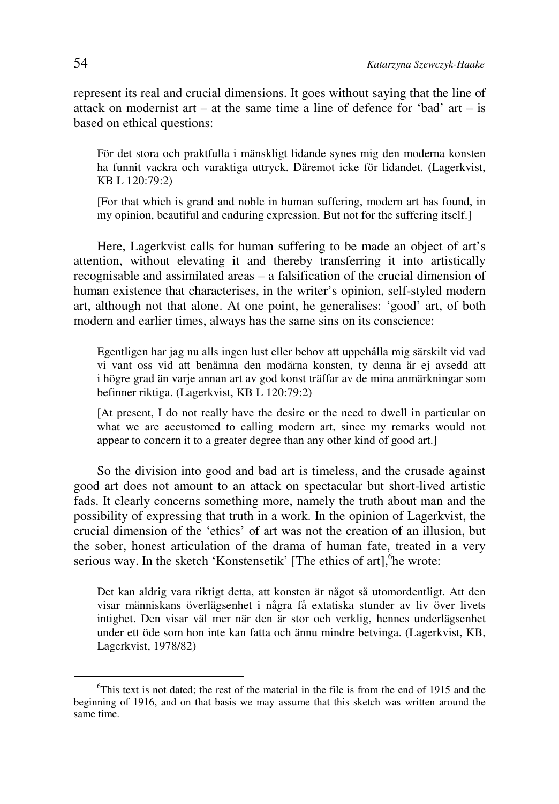represent its real and crucial dimensions. It goes without saying that the line of attack on modernist art – at the same time a line of defence for 'bad' art – is based on ethical questions:

För det stora och praktfulla i mänskligt lidande synes mig den moderna konsten ha funnit vackra och varaktiga uttryck. Däremot icke för lidandet. (Lagerkvist, KB L 120:79:2)

[For that which is grand and noble in human suffering, modern art has found, in my opinion, beautiful and enduring expression. But not for the suffering itself.]

Here, Lagerkvist calls for human suffering to be made an object of art's attention, without elevating it and thereby transferring it into artistically recognisable and assimilated areas – a falsification of the crucial dimension of human existence that characterises, in the writer's opinion, self-styled modern art, although not that alone. At one point, he generalises: 'good' art, of both modern and earlier times, always has the same sins on its conscience:

Egentligen har jag nu alls ingen lust eller behov att uppehålla mig särskilt vid vad vi vant oss vid att benämna den modärna konsten, ty denna är ej avsedd att i högre grad än varje annan art av god konst träffar av de mina anmärkningar som befinner riktiga. (Lagerkvist, KB L 120:79:2)

[At present, I do not really have the desire or the need to dwell in particular on what we are accustomed to calling modern art, since my remarks would not appear to concern it to a greater degree than any other kind of good art.]

So the division into good and bad art is timeless, and the crusade against good art does not amount to an attack on spectacular but short-lived artistic fads. It clearly concerns something more, namely the truth about man and the possibility of expressing that truth in a work. In the opinion of Lagerkvist, the crucial dimension of the 'ethics' of art was not the creation of an illusion, but the sober, honest articulation of the drama of human fate, treated in a very serious way. In the sketch 'Konstensetik' [The ethics of art], <sup>6</sup>he wrote:

Det kan aldrig vara riktigt detta, att konsten är något så utomordentligt. Att den visar människans överlägsenhet i några få extatiska stunder av liv över livets intighet. Den visar väl mer när den är stor och verklig, hennes underlägsenhet under ett öde som hon inte kan fatta och ännu mindre betvinga. (Lagerkvist, KB, Lagerkvist, 1978/82)

 $6$ This text is not dated; the rest of the material in the file is from the end of 1915 and the beginning of 1916, and on that basis we may assume that this sketch was written around the same time.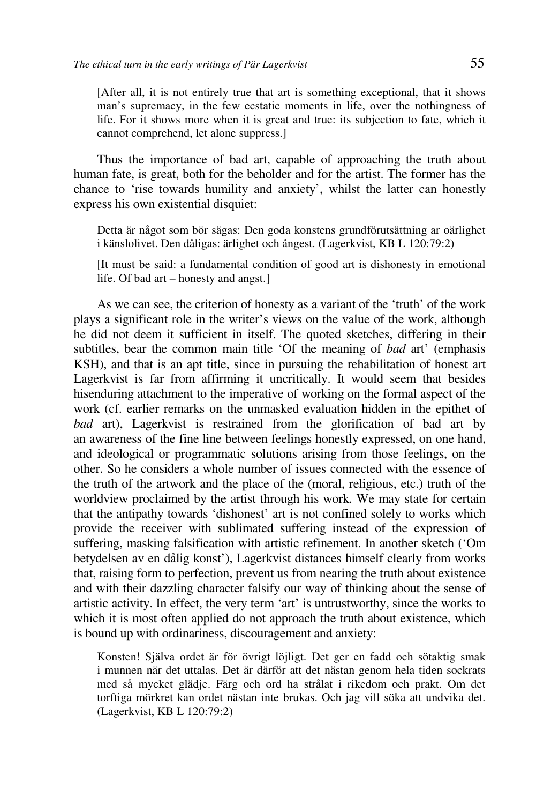[After all, it is not entirely true that art is something exceptional, that it shows man's supremacy, in the few ecstatic moments in life, over the nothingness of life. For it shows more when it is great and true: its subjection to fate, which it cannot comprehend, let alone suppress.]

Thus the importance of bad art, capable of approaching the truth about human fate, is great, both for the beholder and for the artist. The former has the chance to 'rise towards humility and anxiety', whilst the latter can honestly express his own existential disquiet:

Detta är något som bör sägas: Den goda konstens grundförutsättning ar oärlighet i känslolivet. Den dåligas: ärlighet och ångest. (Lagerkvist, KB L 120:79:2)

[It must be said: a fundamental condition of good art is dishonesty in emotional life. Of bad art – honesty and angst.]

As we can see, the criterion of honesty as a variant of the 'truth' of the work plays a significant role in the writer's views on the value of the work, although he did not deem it sufficient in itself. The quoted sketches, differing in their subtitles, bear the common main title 'Of the meaning of *bad* art' (emphasis KSH), and that is an apt title, since in pursuing the rehabilitation of honest art Lagerkvist is far from affirming it uncritically. It would seem that besides hisenduring attachment to the imperative of working on the formal aspect of the work (cf. earlier remarks on the unmasked evaluation hidden in the epithet of *bad* art), Lagerkvist is restrained from the glorification of bad art by an awareness of the fine line between feelings honestly expressed, on one hand, and ideological or programmatic solutions arising from those feelings, on the other. So he considers a whole number of issues connected with the essence of the truth of the artwork and the place of the (moral, religious, etc.) truth of the worldview proclaimed by the artist through his work. We may state for certain that the antipathy towards 'dishonest' art is not confined solely to works which provide the receiver with sublimated suffering instead of the expression of suffering, masking falsification with artistic refinement. In another sketch ('Om betydelsen av en dålig konst'), Lagerkvist distances himself clearly from works that, raising form to perfection, prevent us from nearing the truth about existence and with their dazzling character falsify our way of thinking about the sense of artistic activity. In effect, the very term 'art' is untrustworthy, since the works to which it is most often applied do not approach the truth about existence, which is bound up with ordinariness, discouragement and anxiety:

Konsten! Själva ordet är för övrigt löjligt. Det ger en fadd och sötaktig smak i munnen när det uttalas. Det är därför att det nästan genom hela tiden sockrats med så mycket glädje. Färg och ord ha strålat i rikedom och prakt. Om det torftiga mörkret kan ordet nästan inte brukas. Och jag vill söka att undvika det. (Lagerkvist, KB L 120:79:2)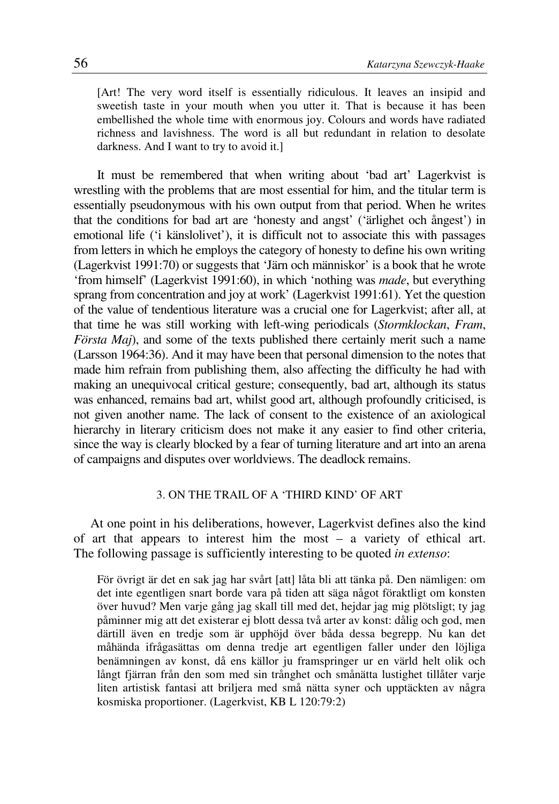[Art! The very word itself is essentially ridiculous. It leaves an insipid and sweetish taste in your mouth when you utter it. That is because it has been embellished the whole time with enormous joy. Colours and words have radiated richness and lavishness. The word is all but redundant in relation to desolate darkness. And I want to try to avoid it.]

It must be remembered that when writing about 'bad art' Lagerkvist is wrestling with the problems that are most essential for him, and the titular term is essentially pseudonymous with his own output from that period. When he writes that the conditions for bad art are 'honesty and angst' ('ärlighet och ångest') in emotional life ('i känslolivet'), it is difficult not to associate this with passages from letters in which he employs the category of honesty to define his own writing (Lagerkvist 1991:70) or suggests that 'Järn och människor' is a book that he wrote 'from himself' (Lagerkvist 1991:60), in which 'nothing was *made*, but everything sprang from concentration and joy at work' (Lagerkvist 1991:61). Yet the question of the value of tendentious literature was a crucial one for Lagerkvist; after all, at that time he was still working with left-wing periodicals (*Stormklockan*, *Fram*, *Första Maj*), and some of the texts published there certainly merit such a name (Larsson 1964:36). And it may have been that personal dimension to the notes that made him refrain from publishing them, also affecting the difficulty he had with making an unequivocal critical gesture; consequently, bad art, although its status was enhanced, remains bad art, whilst good art, although profoundly criticised, is not given another name. The lack of consent to the existence of an axiological hierarchy in literary criticism does not make it any easier to find other criteria, since the way is clearly blocked by a fear of turning literature and art into an arena of campaigns and disputes over worldviews. The deadlock remains.

#### 3. ON THE TRAIL OF A 'THIRD KIND' OF ART

At one point in his deliberations, however, Lagerkvist defines also the kind of art that appears to interest him the most – a variety of ethical art. The following passage is sufficiently interesting to be quoted *in extenso*:

För övrigt är det en sak jag har svårt [att] låta bli att tänka på. Den nämligen: om det inte egentligen snart borde vara på tiden att säga något föraktligt om konsten över huvud? Men varje gång jag skall till med det, hejdar jag mig plötsligt; ty jag påminner mig att det existerar ej blott dessa två arter av konst: dålig och god, men därtill även en tredje som är upphöjd över båda dessa begrepp. Nu kan det måhända ifrågasättas om denna tredje art egentligen faller under den löjliga benämningen av konst, då ens källor ju framspringer ur en värld helt olik och långt fjärran från den som med sin trånghet och smånätta lustighet tillåter varje liten artistisk fantasi att briljera med små nätta syner och upptäckten av några kosmiska proportioner. (Lagerkvist, KB L 120:79:2)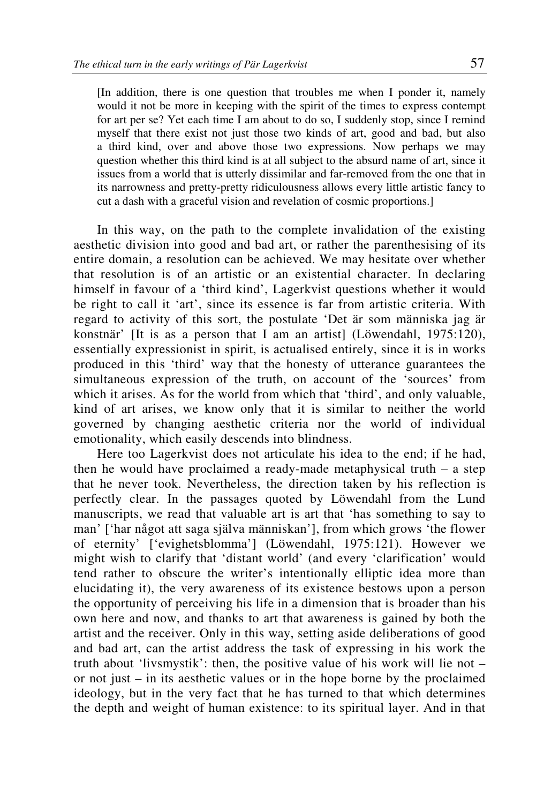[In addition, there is one question that troubles me when I ponder it, namely would it not be more in keeping with the spirit of the times to express contempt for art per se? Yet each time I am about to do so, I suddenly stop, since I remind myself that there exist not just those two kinds of art, good and bad, but also a third kind, over and above those two expressions. Now perhaps we may question whether this third kind is at all subject to the absurd name of art, since it issues from a world that is utterly dissimilar and far-removed from the one that in its narrowness and pretty-pretty ridiculousness allows every little artistic fancy to cut a dash with a graceful vision and revelation of cosmic proportions.]

In this way, on the path to the complete invalidation of the existing aesthetic division into good and bad art, or rather the parenthesising of its entire domain, a resolution can be achieved. We may hesitate over whether that resolution is of an artistic or an existential character. In declaring himself in favour of a 'third kind', Lagerkvist questions whether it would be right to call it 'art', since its essence is far from artistic criteria. With regard to activity of this sort, the postulate 'Det är som människa jag är konstnär' [It is as a person that I am an artist] (Löwendahl, 1975:120), essentially expressionist in spirit, is actualised entirely, since it is in works produced in this 'third' way that the honesty of utterance guarantees the simultaneous expression of the truth, on account of the 'sources' from which it arises. As for the world from which that 'third', and only valuable, kind of art arises, we know only that it is similar to neither the world governed by changing aesthetic criteria nor the world of individual emotionality, which easily descends into blindness.

Here too Lagerkvist does not articulate his idea to the end; if he had, then he would have proclaimed a ready-made metaphysical truth – a step that he never took. Nevertheless, the direction taken by his reflection is perfectly clear. In the passages quoted by Löwendahl from the Lund manuscripts, we read that valuable art is art that 'has something to say to man' ['har något att saga själva människan'], from which grows 'the flower of eternity' ['evighetsblomma'] (Löwendahl, 1975:121). However we might wish to clarify that 'distant world' (and every 'clarification' would tend rather to obscure the writer's intentionally elliptic idea more than elucidating it), the very awareness of its existence bestows upon a person the opportunity of perceiving his life in a dimension that is broader than his own here and now, and thanks to art that awareness is gained by both the artist and the receiver. Only in this way, setting aside deliberations of good and bad art, can the artist address the task of expressing in his work the truth about 'livsmystik': then, the positive value of his work will lie not – or not just  $-$  in its aesthetic values or in the hope borne by the proclaimed ideology, but in the very fact that he has turned to that which determines the depth and weight of human existence: to its spiritual layer. And in that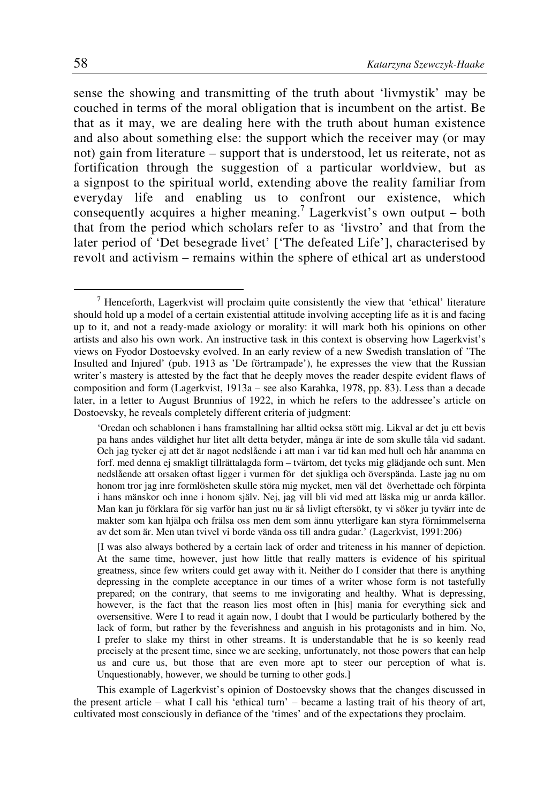sense the showing and transmitting of the truth about 'livmystik' may be couched in terms of the moral obligation that is incumbent on the artist. Be that as it may, we are dealing here with the truth about human existence and also about something else: the support which the receiver may (or may not) gain from literature – support that is understood, let us reiterate, not as fortification through the suggestion of a particular worldview, but as a signpost to the spiritual world, extending above the reality familiar from everyday life and enabling us to confront our existence, which consequently acquires a higher meaning.<sup>7</sup> Lagerkvist's own output – both that from the period which scholars refer to as 'livstro' and that from the later period of 'Det besegrade livet' ['The defeated Life'], characterised by revolt and activism – remains within the sphere of ethical art as understood

This example of Lagerkvist's opinion of Dostoevsky shows that the changes discussed in the present article – what I call his 'ethical turn' – became a lasting trait of his theory of art, cultivated most consciously in defiance of the 'times' and of the expectations they proclaim.

 $<sup>7</sup>$  Henceforth, Lagerkvist will proclaim quite consistently the view that 'ethical' literature</sup> should hold up a model of a certain existential attitude involving accepting life as it is and facing up to it, and not a ready-made axiology or morality: it will mark both his opinions on other artists and also his own work. An instructive task in this context is observing how Lagerkvist's views on Fyodor Dostoevsky evolved. In an early review of a new Swedish translation of 'The Insulted and Injured' (pub. 1913 as 'De förtrampade'), he expresses the view that the Russian writer's mastery is attested by the fact that he deeply moves the reader despite evident flaws of composition and form (Lagerkvist, 1913a – see also Karahka, 1978, pp. 83). Less than a decade later, in a letter to August Brunnius of 1922, in which he refers to the addressee's article on Dostoevsky, he reveals completely different criteria of judgment:

<sup>&#</sup>x27;Oredan och schablonen i hans framstallning har alltid ocksa stött mig. Likval ar det ju ett bevis pa hans andes väldighet hur litet allt detta betyder, många är inte de som skulle tåla vid sadant. Och jag tycker ej att det är nagot nedslående i att man i var tid kan med hull och hår anamma en forf. med denna ej smakligt tillrättalagda form – tvärtom, det tycks mig glädjande och sunt. Men nedslående att orsaken oftast ligger i vurmen för det sjukliga och överspända. Laste jag nu om honom tror jag inre formlösheten skulle störa mig mycket, men väl det överhettade och förpinta i hans mänskor och inne i honom själv. Nej, jag vill bli vid med att läska mig ur anrda källor. Man kan ju förklara för sig varför han just nu är så livligt eftersökt, ty vi söker ju tyvärr inte de makter som kan hjälpa och frälsa oss men dem som ännu ytterligare kan styra förnimmelserna av det som är. Men utan tvivel vi borde vända oss till andra gudar.' (Lagerkvist, 1991:206)

<sup>[</sup>I was also always bothered by a certain lack of order and triteness in his manner of depiction. At the same time, however, just how little that really matters is evidence of his spiritual greatness, since few writers could get away with it. Neither do I consider that there is anything depressing in the complete acceptance in our times of a writer whose form is not tastefully prepared; on the contrary, that seems to me invigorating and healthy. What is depressing, however, is the fact that the reason lies most often in [his] mania for everything sick and oversensitive. Were I to read it again now, I doubt that I would be particularly bothered by the lack of form, but rather by the feverishness and anguish in his protagonists and in him. No, I prefer to slake my thirst in other streams. It is understandable that he is so keenly read precisely at the present time, since we are seeking, unfortunately, not those powers that can help us and cure us, but those that are even more apt to steer our perception of what is. Unquestionably, however, we should be turning to other gods.]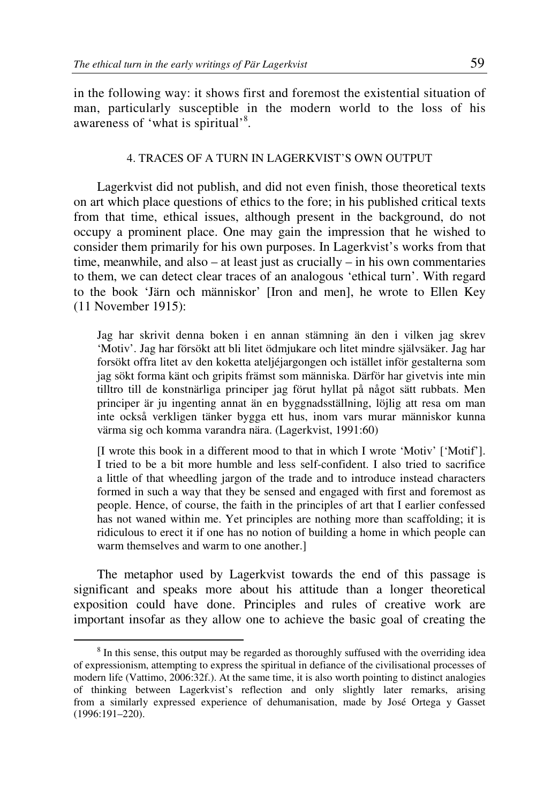in the following way: it shows first and foremost the existential situation of man, particularly susceptible in the modern world to the loss of his awareness of 'what is spiritual'<sup>8</sup>.

#### 4. TRACES OF A TURN IN LAGERKVIST'S OWN OUTPUT

Lagerkvist did not publish, and did not even finish, those theoretical texts on art which place questions of ethics to the fore; in his published critical texts from that time, ethical issues, although present in the background, do not occupy a prominent place. One may gain the impression that he wished to consider them primarily for his own purposes. In Lagerkvist's works from that time, meanwhile, and also – at least just as crucially – in his own commentaries to them, we can detect clear traces of an analogous 'ethical turn'. With regard to the book 'Järn och människor' [Iron and men], he wrote to Ellen Key (11 November 1915):

Jag har skrivit denna boken i en annan stämning än den i vilken jag skrev 'Motiv'. Jag har försökt att bli litet ödmjukare och litet mindre självsäker. Jag har forsökt offra litet av den koketta ateljéjargongen och istället inför gestalterna som jag sökt forma känt och gripits främst som människa. Därför har givetvis inte min tilltro till de konstnärliga principer jag förut hyllat på något sätt rubbats. Men principer är ju ingenting annat än en byggnadsställning, löjlig att resa om man inte också verkligen tänker bygga ett hus, inom vars murar människor kunna värma sig och komma varandra nära. (Lagerkvist, 1991:60)

[I wrote this book in a different mood to that in which I wrote 'Motiv' ['Motif']. I tried to be a bit more humble and less self-confident. I also tried to sacrifice a little of that wheedling jargon of the trade and to introduce instead characters formed in such a way that they be sensed and engaged with first and foremost as people. Hence, of course, the faith in the principles of art that I earlier confessed has not waned within me. Yet principles are nothing more than scaffolding; it is ridiculous to erect it if one has no notion of building a home in which people can warm themselves and warm to one another.]

The metaphor used by Lagerkvist towards the end of this passage is significant and speaks more about his attitude than a longer theoretical exposition could have done. Principles and rules of creative work are important insofar as they allow one to achieve the basic goal of creating the

<sup>&</sup>lt;sup>8</sup> In this sense, this output may be regarded as thoroughly suffused with the overriding idea of expressionism, attempting to express the spiritual in defiance of the civilisational processes of modern life (Vattimo, 2006:32f.). At the same time, it is also worth pointing to distinct analogies of thinking between Lagerkvist's reflection and only slightly later remarks, arising from a similarly expressed experience of dehumanisation, made by José Ortega y Gasset (1996:191–220).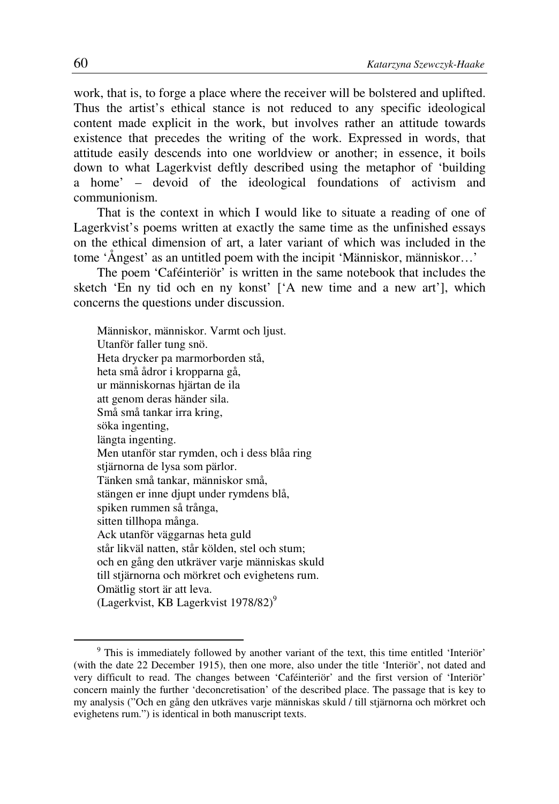work, that is, to forge a place where the receiver will be bolstered and uplifted. Thus the artist's ethical stance is not reduced to any specific ideological content made explicit in the work, but involves rather an attitude towards existence that precedes the writing of the work. Expressed in words, that attitude easily descends into one worldview or another; in essence, it boils down to what Lagerkvist deftly described using the metaphor of 'building a home' – devoid of the ideological foundations of activism and communionism.

That is the context in which I would like to situate a reading of one of Lagerkvist's poems written at exactly the same time as the unfinished essays on the ethical dimension of art, a later variant of which was included in the tome 'Ångest' as an untitled poem with the incipit 'Människor, människor…'

The poem 'Caféinteriör' is written in the same notebook that includes the sketch 'En ny tid och en ny konst' ['A new time and a new art'], which concerns the questions under discussion.

Människor, människor. Varmt och ljust. Utanför faller tung snö. Heta drycker pa marmorborden stå, heta små ådror i kropparna gå, ur människornas hjärtan de ila att genom deras händer sila. Små små tankar irra kring, söka ingenting, längta ingenting. Men utanför star rymden, och i dess blåa ring stjärnorna de lysa som pärlor. Tänken små tankar, människor små, stängen er inne djupt under rymdens blå, spiken rummen så trånga, sitten tillhopa många. Ack utanför väggarnas heta guld står likväl natten, står kölden, stel och stum; och en gång den utkräver varje människas skuld till stjärnorna och mörkret och evighetens rum. Omätlig stort är att leva. (Lagerkvist, KB Lagerkvist 1978/82)<sup>9</sup>

<sup>&</sup>lt;sup>9</sup> This is immediately followed by another variant of the text, this time entitled 'Interiör' (with the date 22 December 1915), then one more, also under the title 'Interiör', not dated and very difficult to read. The changes between 'Caféinteriör' and the first version of 'Interiör' concern mainly the further 'deconcretisation' of the described place. The passage that is key to my analysis ("Och en gång den utkräves varje människas skuld / till stjärnorna och mörkret och evighetens rum.") is identical in both manuscript texts.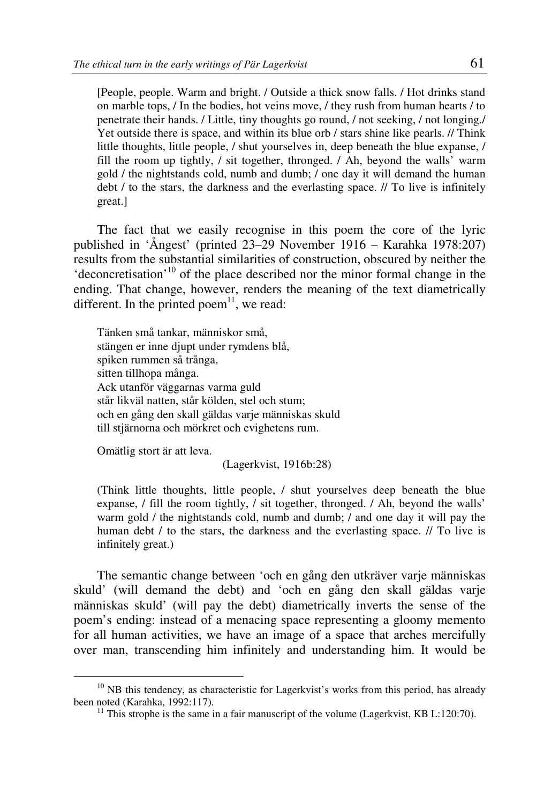[People, people. Warm and bright. / Outside a thick snow falls. / Hot drinks stand on marble tops, / In the bodies, hot veins move, / they rush from human hearts / to penetrate their hands. / Little, tiny thoughts go round, / not seeking, / not longing./ Yet outside there is space, and within its blue orb / stars shine like pearls. // Think little thoughts, little people, / shut yourselves in, deep beneath the blue expanse, / fill the room up tightly, / sit together, thronged. / Ah, beyond the walls' warm gold / the nightstands cold, numb and dumb; / one day it will demand the human debt / to the stars, the darkness and the everlasting space. // To live is infinitely great.]

The fact that we easily recognise in this poem the core of the lyric published in 'Ångest' (printed 23–29 November 1916 – Karahka 1978:207) results from the substantial similarities of construction, obscured by neither the 'deconcretisation'<sup>10</sup> of the place described nor the minor formal change in the ending. That change, however, renders the meaning of the text diametrically different. In the printed poem<sup>11</sup>, we read:

Tänken små tankar, människor små, stängen er inne djupt under rymdens blå, spiken rummen så trånga, sitten tillhopa många. Ack utanför väggarnas varma guld står likväl natten, står kölden, stel och stum; och en gång den skall gäldas varje människas skuld till stjärnorna och mörkret och evighetens rum.

Omätlig stort är att leva.

 $\overline{a}$ 

(Lagerkvist, 1916b:28)

(Think little thoughts, little people, / shut yourselves deep beneath the blue expanse, / fill the room tightly, / sit together, thronged. / Ah, beyond the walls' warm gold / the nightstands cold, numb and dumb; / and one day it will pay the human debt / to the stars, the darkness and the everlasting space. // To live is infinitely great.)

The semantic change between 'och en gång den utkräver varje människas skuld' (will demand the debt) and 'och en gång den skall gäldas varje människas skuld' (will pay the debt) diametrically inverts the sense of the poem's ending: instead of a menacing space representing a gloomy memento for all human activities, we have an image of a space that arches mercifully over man, transcending him infinitely and understanding him. It would be

 $10$  NB this tendency, as characteristic for Lagerkvist's works from this period, has already been noted (Karahka, 1992:117).

 $11$  This strophe is the same in a fair manuscript of the volume (Lagerkvist, KB L:120:70).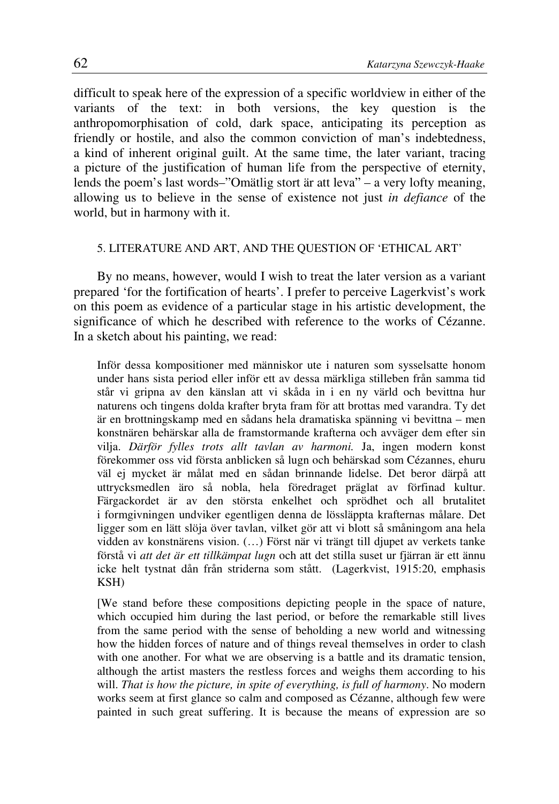difficult to speak here of the expression of a specific worldview in either of the variants of the text: in both versions, the key question is the anthropomorphisation of cold, dark space, anticipating its perception as friendly or hostile, and also the common conviction of man's indebtedness, a kind of inherent original guilt. At the same time, the later variant, tracing a picture of the justification of human life from the perspective of eternity, lends the poem's last words–"Omätlig stort är att leva" – a very lofty meaning, allowing us to believe in the sense of existence not just *in defiance* of the world, but in harmony with it.

#### 5. LITERATURE AND ART, AND THE QUESTION OF 'ETHICAL ART'

By no means, however, would I wish to treat the later version as a variant prepared 'for the fortification of hearts'. I prefer to perceive Lagerkvist's work on this poem as evidence of a particular stage in his artistic development, the significance of which he described with reference to the works of Cézanne. In a sketch about his painting, we read:

Inför dessa kompositioner med människor ute i naturen som sysselsatte honom under hans sista period eller inför ett av dessa märkliga stilleben från samma tid står vi gripna av den känslan att vi skåda in i en ny värld och bevittna hur naturens och tingens dolda krafter bryta fram för att brottas med varandra. Ty det är en brottningskamp med en sådans hela dramatiska spänning vi bevittna – men konstnären behärskar alla de framstormande krafterna och avväger dem efter sin vilja. *Därför fylles trots allt tavlan av harmoni.* Ja, ingen modern konst förekommer oss vid första anblicken så lugn och behärskad som Cézannes, ehuru väl ej mycket är målat med en sådan brinnande lidelse. Det beror därpå att uttrycksmedlen äro så nobla, hela föredraget präglat av förfinad kultur. Färgackordet är av den största enkelhet och sprödhet och all brutalitet i formgivningen undviker egentligen denna de lössläppta krafternas målare. Det ligger som en lätt slöja över tavlan, vilket gör att vi blott så småningom ana hela vidden av konstnärens vision. (…) Först när vi trängt till djupet av verkets tanke förstå vi *att det är ett tillkämpat lugn* och att det stilla suset ur fjärran är ett ännu icke helt tystnat dån från striderna som stått. (Lagerkvist, 1915:20, emphasis KSH)

[We stand before these compositions depicting people in the space of nature, which occupied him during the last period, or before the remarkable still lives from the same period with the sense of beholding a new world and witnessing how the hidden forces of nature and of things reveal themselves in order to clash with one another. For what we are observing is a battle and its dramatic tension, although the artist masters the restless forces and weighs them according to his will. *That is how the picture, in spite of everything, is full of harmony*. No modern works seem at first glance so calm and composed as Cézanne, although few were painted in such great suffering. It is because the means of expression are so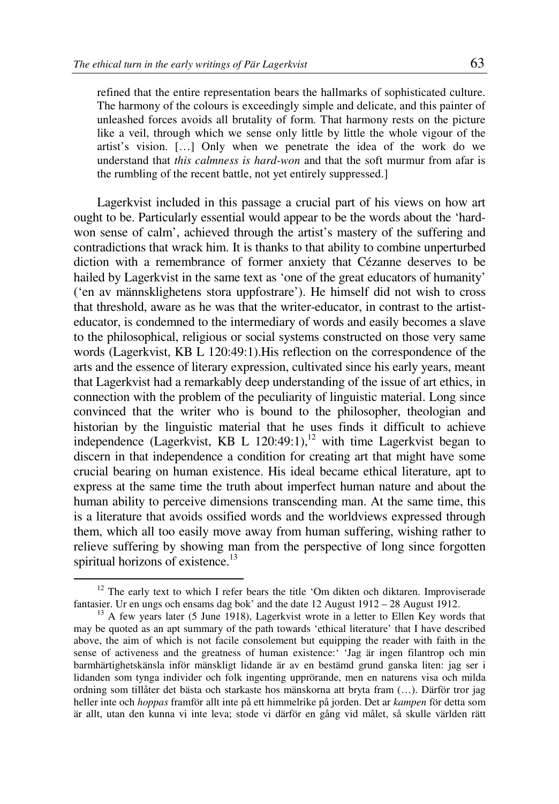refined that the entire representation bears the hallmarks of sophisticated culture. The harmony of the colours is exceedingly simple and delicate, and this painter of unleashed forces avoids all brutality of form. That harmony rests on the picture like a veil, through which we sense only little by little the whole vigour of the artist's vision. […] Only when we penetrate the idea of the work do we understand that *this calmness is hard-won* and that the soft murmur from afar is the rumbling of the recent battle, not yet entirely suppressed.]

Lagerkvist included in this passage a crucial part of his views on how art ought to be. Particularly essential would appear to be the words about the 'hardwon sense of calm', achieved through the artist's mastery of the suffering and contradictions that wrack him. It is thanks to that ability to combine unperturbed diction with a remembrance of former anxiety that Cézanne deserves to be hailed by Lagerkvist in the same text as 'one of the great educators of humanity' ('en av männsklighetens stora uppfostrare'). He himself did not wish to cross that threshold, aware as he was that the writer-educator, in contrast to the artisteducator, is condemned to the intermediary of words and easily becomes a slave to the philosophical, religious or social systems constructed on those very same words (Lagerkvist, KB L 120:49:1).His reflection on the correspondence of the arts and the essence of literary expression, cultivated since his early years, meant that Lagerkvist had a remarkably deep understanding of the issue of art ethics, in connection with the problem of the peculiarity of linguistic material. Long since convinced that the writer who is bound to the philosopher, theologian and historian by the linguistic material that he uses finds it difficult to achieve independence (Lagerkvist, KB L  $120:49:1$ ),<sup>12</sup> with time Lagerkvist began to discern in that independence a condition for creating art that might have some crucial bearing on human existence. His ideal became ethical literature, apt to express at the same time the truth about imperfect human nature and about the human ability to perceive dimensions transcending man. At the same time, this is a literature that avoids ossified words and the worldviews expressed through them, which all too easily move away from human suffering, wishing rather to relieve suffering by showing man from the perspective of long since forgotten spiritual horizons of existence.<sup>13</sup>

 $12$  The early text to which I refer bears the title 'Om dikten och diktaren. Improviserade fantasier. Ur en ungs och ensams dag bok' and the date 12 August 1912 – 28 August 1912.

<sup>&</sup>lt;sup>13</sup> A few years later (5 June 1918), Lagerkvist wrote in a letter to Ellen Key words that may be quoted as an apt summary of the path towards 'ethical literature' that I have described above, the aim of which is not facile consolement but equipping the reader with faith in the sense of activeness and the greatness of human existence:' 'Jag är ingen filantrop och min barmhärtighetskänsla inför mänskligt lidande är av en bestämd grund ganska liten: jag ser i lidanden som tynga individer och folk ingenting upprörande, men en naturens visa och milda ordning som tillåter det bästa och starkaste hos mänskorna att bryta fram (…). Därför tror jag heller inte och *hoppas* framför allt inte på ett himmelrike på jorden. Det ar *kampen* för detta som är allt, utan den kunna vi inte leva; stode vi därför en gång vid målet, så skulle världen rätt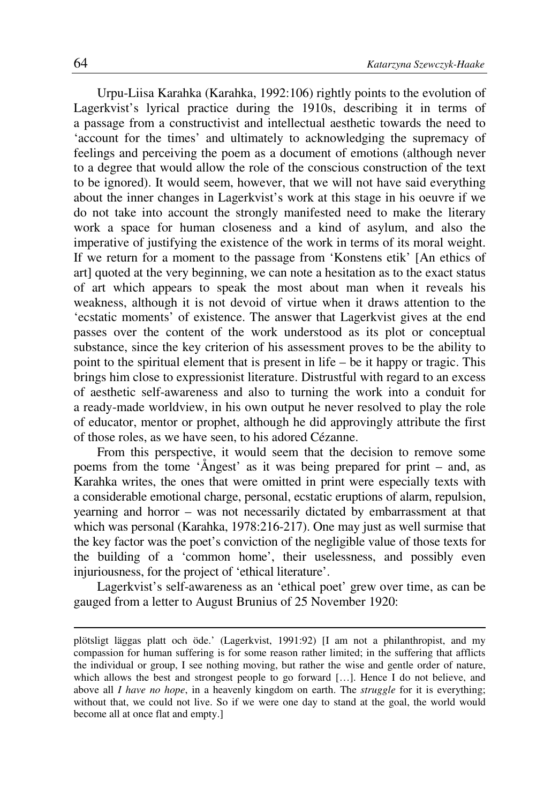Urpu-Liisa Karahka (Karahka, 1992:106) rightly points to the evolution of Lagerkvist's lyrical practice during the 1910s, describing it in terms of a passage from a constructivist and intellectual aesthetic towards the need to 'account for the times' and ultimately to acknowledging the supremacy of feelings and perceiving the poem as a document of emotions (although never to a degree that would allow the role of the conscious construction of the text to be ignored). It would seem, however, that we will not have said everything about the inner changes in Lagerkvist's work at this stage in his oeuvre if we do not take into account the strongly manifested need to make the literary work a space for human closeness and a kind of asylum, and also the imperative of justifying the existence of the work in terms of its moral weight. If we return for a moment to the passage from 'Konstens etik' [An ethics of art] quoted at the very beginning, we can note a hesitation as to the exact status of art which appears to speak the most about man when it reveals his weakness, although it is not devoid of virtue when it draws attention to the 'ecstatic moments' of existence. The answer that Lagerkvist gives at the end passes over the content of the work understood as its plot or conceptual substance, since the key criterion of his assessment proves to be the ability to point to the spiritual element that is present in life – be it happy or tragic. This brings him close to expressionist literature. Distrustful with regard to an excess of aesthetic self-awareness and also to turning the work into a conduit for a ready-made worldview, in his own output he never resolved to play the role of educator, mentor or prophet, although he did approvingly attribute the first of those roles, as we have seen, to his adored Cézanne.

From this perspective, it would seem that the decision to remove some poems from the tome 'Ångest' as it was being prepared for print – and, as Karahka writes, the ones that were omitted in print were especially texts with a considerable emotional charge, personal, ecstatic eruptions of alarm, repulsion, yearning and horror – was not necessarily dictated by embarrassment at that which was personal (Karahka, 1978:216-217). One may just as well surmise that the key factor was the poet's conviction of the negligible value of those texts for the building of a 'common home', their uselessness, and possibly even injuriousness, for the project of 'ethical literature'.

Lagerkvist's self-awareness as an 'ethical poet' grew over time, as can be gauged from a letter to August Brunius of 25 November 1920:

plötsligt läggas platt och öde.' (Lagerkvist, 1991:92) [I am not a philanthropist, and my compassion for human suffering is for some reason rather limited; in the suffering that afflicts the individual or group, I see nothing moving, but rather the wise and gentle order of nature, which allows the best and strongest people to go forward […]. Hence I do not believe, and above all *I have no hope*, in a heavenly kingdom on earth. The *struggle* for it is everything; without that, we could not live. So if we were one day to stand at the goal, the world would become all at once flat and empty.]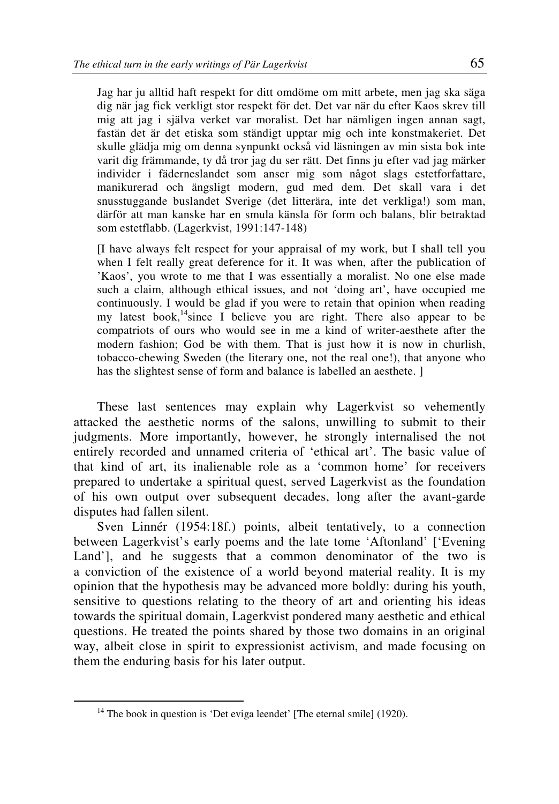Jag har ju alltid haft respekt for ditt omdöme om mitt arbete, men jag ska säga dig när jag fick verkligt stor respekt för det. Det var när du efter Kaos skrev till mig att jag i själva verket var moralist. Det har nämligen ingen annan sagt, fastän det är det etiska som ständigt upptar mig och inte konstmakeriet. Det skulle glädja mig om denna synpunkt också vid läsningen av min sista bok inte varit dig främmande, ty då tror jag du ser rätt. Det finns ju efter vad jag märker individer i fäderneslandet som anser mig som något slags estetforfattare, manikurerad och ängsligt modern, gud med dem. Det skall vara i det snusstuggande buslandet Sverige (det litterära, inte det verkliga!) som man, därför att man kanske har en smula känsla för form och balans, blir betraktad som estetflabb. (Lagerkvist, 1991:147-148)

[I have always felt respect for your appraisal of my work, but I shall tell you when I felt really great deference for it. It was when, after the publication of 'Kaos', you wrote to me that I was essentially a moralist. No one else made such a claim, although ethical issues, and not 'doing art', have occupied me continuously. I would be glad if you were to retain that opinion when reading my latest book, $14$ since I believe you are right. There also appear to be compatriots of ours who would see in me a kind of writer-aesthete after the modern fashion; God be with them. That is just how it is now in churlish, tobacco-chewing Sweden (the literary one, not the real one!), that anyone who has the slightest sense of form and balance is labelled an aesthete. ]

These last sentences may explain why Lagerkvist so vehemently attacked the aesthetic norms of the salons, unwilling to submit to their judgments. More importantly, however, he strongly internalised the not entirely recorded and unnamed criteria of 'ethical art'. The basic value of that kind of art, its inalienable role as a 'common home' for receivers prepared to undertake a spiritual quest, served Lagerkvist as the foundation of his own output over subsequent decades, long after the avant-garde disputes had fallen silent.

Sven Linnér (1954:18f.) points, albeit tentatively, to a connection between Lagerkvist's early poems and the late tome 'Aftonland' ['Evening Land'], and he suggests that a common denominator of the two is a conviction of the existence of a world beyond material reality. It is my opinion that the hypothesis may be advanced more boldly: during his youth, sensitive to questions relating to the theory of art and orienting his ideas towards the spiritual domain, Lagerkvist pondered many aesthetic and ethical questions. He treated the points shared by those two domains in an original way, albeit close in spirit to expressionist activism, and made focusing on them the enduring basis for his later output.

 $14$  The book in question is 'Det eviga leendet' [The eternal smile] (1920).